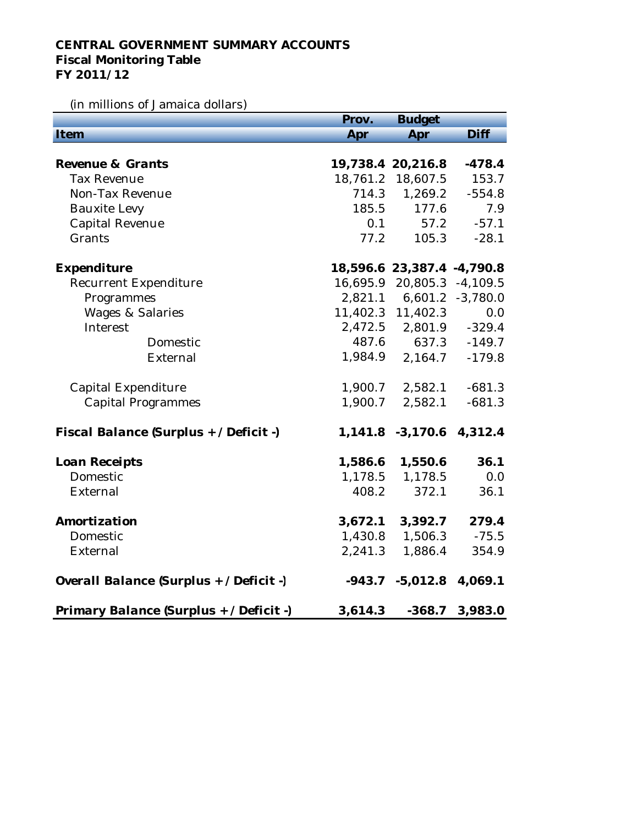## **CENTRAL GOVERNMENT SUMMARY ACCOUNTS Fiscal Monitoring Table FY 2011/12**

## (in millions of Jamaica dollars)

|                                         | Prov.    | <b>Budget</b>              |                  |
|-----------------------------------------|----------|----------------------------|------------------|
| Item                                    | Apr      | Apr                        | Diff             |
|                                         |          |                            |                  |
| Revenue & Grants                        |          | 19,738.4 20,216.8          | $-478.4$         |
| <b>Tax Revenue</b>                      | 18,761.2 | 18,607.5                   | 153.7            |
| Non-Tax Revenue                         | 714.3    | 1,269.2                    | $-554.8$         |
| <b>Bauxite Levy</b>                     | 185.5    | 177.6                      | 7.9              |
| <b>Capital Revenue</b>                  | 0.1      | 57.2                       | $-57.1$          |
| Grants                                  | 77.2     | 105.3                      | $-28.1$          |
|                                         |          |                            |                  |
| Expenditure                             |          | 18,596.6 23,387.4 -4,790.8 |                  |
| Recurrent Expenditure                   | 16,695.9 | 20,805.3                   | $-4,109.5$       |
| Programmes                              | 2,821.1  |                            | 6,601.2 -3,780.0 |
| <b>Wages &amp; Salaries</b>             |          | 11,402.3 11,402.3          | 0.0              |
| Interest                                | 2,472.5  | 2,801.9                    | $-329.4$         |
| Domestic                                | 487.6    | 637.3                      | $-149.7$         |
| External                                | 1,984.9  | 2,164.7                    | $-179.8$         |
|                                         |          |                            |                  |
| <b>Capital Expenditure</b>              | 1,900.7  | 2,582.1                    | $-681.3$         |
| <b>Capital Programmes</b>               | 1,900.7  | 2,582.1                    | $-681.3$         |
|                                         |          |                            |                  |
| Fiscal Balance (Surplus + / Deficit -)  |          | 1,141.8 -3,170.6           | 4,312.4          |
|                                         |          |                            |                  |
| Loan Receipts                           | 1,586.6  | 1,550.6                    | 36.1             |
| Domestic                                | 1,178.5  | 1,178.5                    | 0.0              |
| External                                | 408.2    | 372.1                      | 36.1             |
|                                         |          |                            |                  |
| Amortization                            | 3,672.1  | 3,392.7                    | 279.4            |
| Domestic                                | 1,430.8  | 1,506.3                    | $-75.5$          |
| External                                | 2,241.3  | 1,886.4                    | 354.9            |
|                                         |          |                            |                  |
| Overall Balance (Surplus + / Deficit -) | $-943.7$ | $-5,012.8$                 | 4,069.1          |
|                                         |          |                            |                  |
| Primary Balance (Surplus + / Deficit -) | 3,614.3  | $-368.7$                   | 3,983.0          |